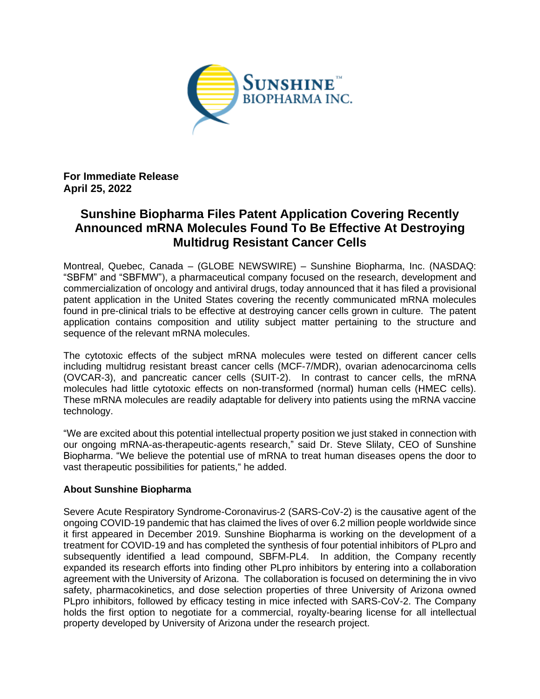

**For Immediate Release April 25, 2022**

## **Sunshine Biopharma Files Patent Application Covering Recently Announced mRNA Molecules Found To Be Effective At Destroying Multidrug Resistant Cancer Cells**

Montreal, Quebec, Canada – (GLOBE NEWSWIRE) – Sunshine Biopharma, Inc. (NASDAQ: "SBFM" and "SBFMW"), a pharmaceutical company focused on the research, development and commercialization of oncology and antiviral drugs, today announced that it has filed a provisional patent application in the United States covering the recently communicated mRNA molecules found in pre-clinical trials to be effective at destroying cancer cells grown in culture. The patent application contains composition and utility subject matter pertaining to the structure and sequence of the relevant mRNA molecules.

The cytotoxic effects of the subject mRNA molecules were tested on different cancer cells including multidrug resistant breast cancer cells (MCF-7/MDR), ovarian adenocarcinoma cells (OVCAR-3), and pancreatic cancer cells (SUIT-2). In contrast to cancer cells, the mRNA molecules had little cytotoxic effects on non-transformed (normal) human cells (HMEC cells). These mRNA molecules are readily adaptable for delivery into patients using the mRNA vaccine technology.

"We are excited about this potential intellectual property position we just staked in connection with our ongoing mRNA-as-therapeutic-agents research," said Dr. Steve Slilaty, CEO of Sunshine Biopharma. "We believe the potential use of mRNA to treat human diseases opens the door to vast therapeutic possibilities for patients," he added.

## **About Sunshine Biopharma**

Severe Acute Respiratory Syndrome-Coronavirus-2 (SARS-CoV-2) is the causative agent of the ongoing COVID-19 pandemic that has claimed the lives of over 6.2 million people worldwide since it first appeared in December 2019. Sunshine Biopharma is working on the development of a treatment for COVID-19 and has completed the synthesis of four potential inhibitors of PLpro and subsequently identified a lead compound, SBFM-PL4. In addition, the Company recently expanded its research efforts into finding other PLpro inhibitors by entering into a collaboration agreement with the University of Arizona. The collaboration is focused on determining the in vivo safety, pharmacokinetics, and dose selection properties of three University of Arizona owned PLpro inhibitors, followed by efficacy testing in mice infected with SARS-CoV-2. The Company holds the first option to negotiate for a commercial, royalty-bearing license for all intellectual property developed by University of Arizona under the research project.